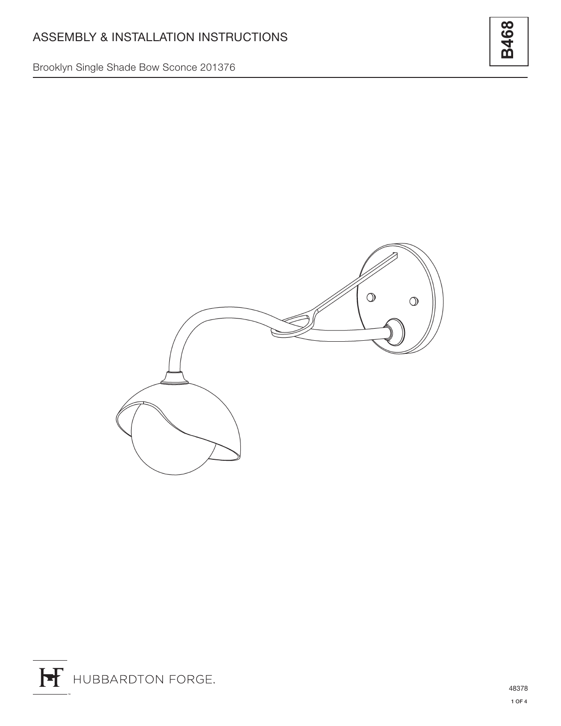Brooklyn Single Shade Bow Sconce 201376



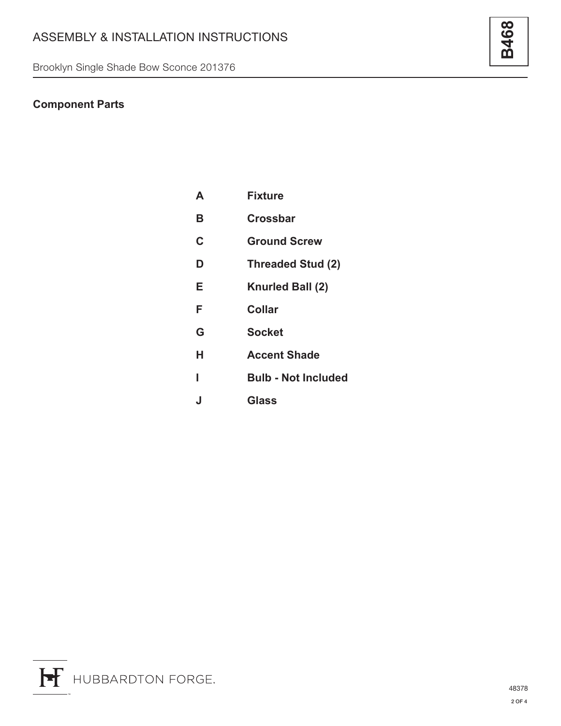Brooklyn Single Shade Bow Sconce 201376

## **Component Parts**

| A | <b>Fixture</b>             |
|---|----------------------------|
| в | Crossbar                   |
| C | <b>Ground Screw</b>        |
| D | <b>Threaded Stud (2)</b>   |
| Е | Knurled Ball (2)           |
| F | Collar                     |
| G | Socket                     |
| н | <b>Accent Shade</b>        |
|   | <b>Bulb - Not Included</b> |
| J | Glass                      |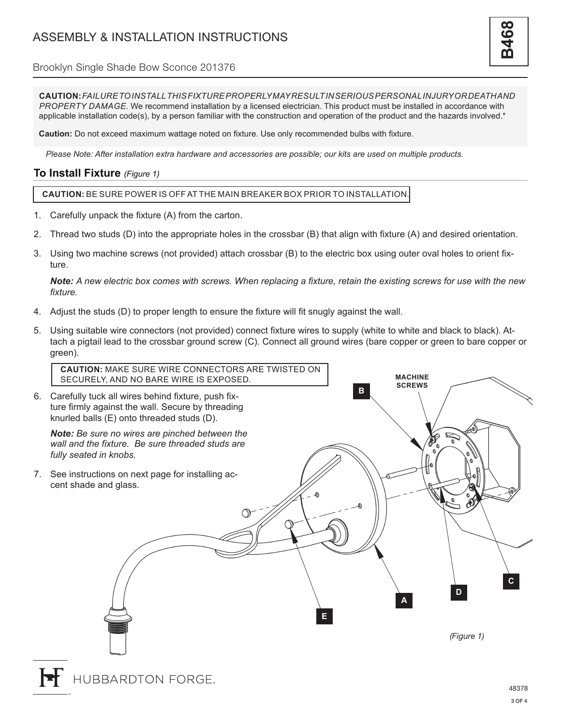Brooklyn Single Shade Bow Sconce 201376

**CAUTION:** *FAILURE TO INSTALL THIS FIXTURE PROPERLY MAY RESULT IN SERIOUS PERSONAL INJURY OR DEATH AND PROPERTY DAMAGE.* We recommend installation by a licensed electrician. This product must be installed in accordance with applicable installation code(s), by a person familiar with the construction and operation of the product and the hazards involved.\*

**Caution:** Do not exceed maximum wattage noted on fixture. Use only recommended bulbs with fixture.

*Please Note: After installation extra hardware and accessories are possible; our kits are used on multiple products.*

## **To Install Fixture** *(Figure 1)*

**CAUTION:** BE SURE POWER IS OFF AT THE MAIN BREAKER BOX PRIOR TO INSTALLATION.

- 1. Carefully unpack the fixture (A) from the carton.
- 2. Thread two studs (D) into the appropriate holes in the crossbar (B) that align with fixture (A) and desired orientation.
- 3. Using two machine screws (not provided) attach crossbar (B) to the electric box using outer oval holes to orient fixture.

*Note: A new electric box comes with screws. When replacing a fixture, retain the existing screws for use with the new fixture.*

- 4. Adjust the studs (D) to proper length to ensure the fixture will fit snugly against the wall.
- 5. Using suitable wire connectors (not provided) connect fixture wires to supply (white to white and black to black). Attach a pigtail lead to the crossbar ground screw (C). Connect all ground wires (bare copper or green to bare copper or green).